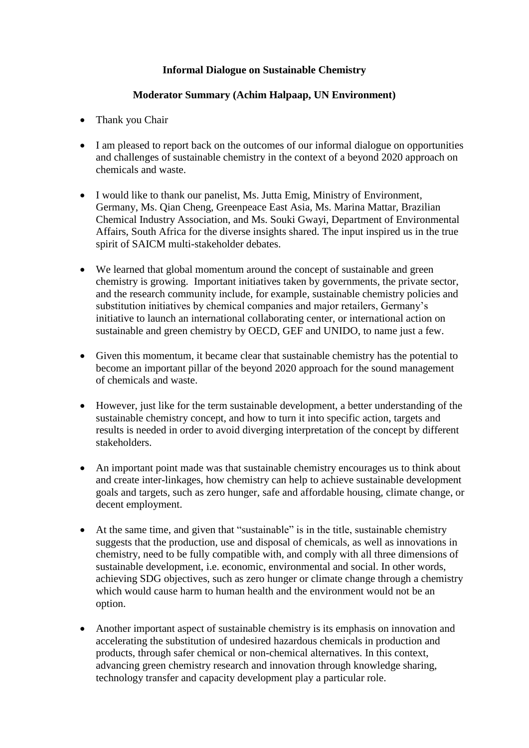## **Informal Dialogue on Sustainable Chemistry**

## **Moderator Summary (Achim Halpaap, UN Environment)**

- Thank you Chair
- I am pleased to report back on the outcomes of our informal dialogue on opportunities and challenges of sustainable chemistry in the context of a beyond 2020 approach on chemicals and waste.
- I would like to thank our panelist, Ms. Jutta Emig, Ministry of Environment, Germany, Ms. Qian Cheng, Greenpeace East Asia, Ms. Marina Mattar, Brazilian Chemical Industry Association, and Ms. Souki Gwayi, Department of Environmental Affairs, South Africa for the diverse insights shared. The input inspired us in the true spirit of SAICM multi-stakeholder debates.
- We learned that global momentum around the concept of sustainable and green chemistry is growing. Important initiatives taken by governments, the private sector, and the research community include, for example, sustainable chemistry policies and substitution initiatives by chemical companies and major retailers, Germany's initiative to launch an international collaborating center, or international action on sustainable and green chemistry by OECD, GEF and UNIDO, to name just a few.
- Given this momentum, it became clear that sustainable chemistry has the potential to become an important pillar of the beyond 2020 approach for the sound management of chemicals and waste.
- However, just like for the term sustainable development, a better understanding of the sustainable chemistry concept, and how to turn it into specific action, targets and results is needed in order to avoid diverging interpretation of the concept by different stakeholders.
- An important point made was that sustainable chemistry encourages us to think about and create inter-linkages, how chemistry can help to achieve sustainable development goals and targets, such as zero hunger, safe and affordable housing, climate change, or decent employment.
- At the same time, and given that "sustainable" is in the title, sustainable chemistry suggests that the production, use and disposal of chemicals, as well as innovations in chemistry, need to be fully compatible with, and comply with all three dimensions of sustainable development, i.e. economic, environmental and social. In other words, achieving SDG objectives, such as zero hunger or climate change through a chemistry which would cause harm to human health and the environment would not be an option.
- Another important aspect of sustainable chemistry is its emphasis on innovation and accelerating the substitution of undesired hazardous chemicals in production and products, through safer chemical or non-chemical alternatives. In this context, advancing green chemistry research and innovation through knowledge sharing, technology transfer and capacity development play a particular role.